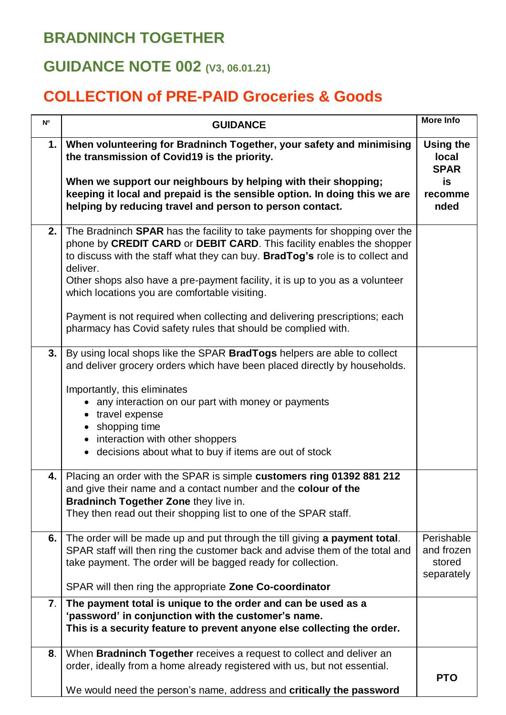## **BRADNINCH TOGETHER**

## **GUIDANCE NOTE 002 (V3, 06.01.21)**

## **COLLECTION of PRE-PAID Groceries & Goods**

| $\mathsf{N}^\mathsf{o}$ | <b>GUIDANCE</b>                                                                                                                                                                                                                                                                                                                                                                                                                                                                                                                         | <b>More Info</b>                                 |
|-------------------------|-----------------------------------------------------------------------------------------------------------------------------------------------------------------------------------------------------------------------------------------------------------------------------------------------------------------------------------------------------------------------------------------------------------------------------------------------------------------------------------------------------------------------------------------|--------------------------------------------------|
| 1.                      | When volunteering for Bradninch Together, your safety and minimising<br>the transmission of Covid19 is the priority.                                                                                                                                                                                                                                                                                                                                                                                                                    | <b>Using the</b><br>local<br><b>SPAR</b>         |
|                         | When we support our neighbours by helping with their shopping;<br>keeping it local and prepaid is the sensible option. In doing this we are<br>helping by reducing travel and person to person contact.                                                                                                                                                                                                                                                                                                                                 | is<br>recomme<br>nded                            |
| 2.                      | The Bradninch <b>SPAR</b> has the facility to take payments for shopping over the<br>phone by CREDIT CARD or DEBIT CARD. This facility enables the shopper<br>to discuss with the staff what they can buy. BradTog's role is to collect and<br>deliver.<br>Other shops also have a pre-payment facility, it is up to you as a volunteer<br>which locations you are comfortable visiting.<br>Payment is not required when collecting and delivering prescriptions; each<br>pharmacy has Covid safety rules that should be complied with. |                                                  |
| 3.                      | By using local shops like the SPAR BradTogs helpers are able to collect<br>and deliver grocery orders which have been placed directly by households.<br>Importantly, this eliminates<br>• any interaction on our part with money or payments<br>• travel expense<br>• shopping time<br>• interaction with other shoppers<br>• decisions about what to buy if items are out of stock                                                                                                                                                     |                                                  |
| 4.                      | Placing an order with the SPAR is simple customers ring 01392 881 212<br>and give their name and a contact number and the colour of the<br>Bradninch Together Zone they live in.<br>They then read out their shopping list to one of the SPAR staff.                                                                                                                                                                                                                                                                                    |                                                  |
| 6.                      | The order will be made up and put through the till giving a payment total.<br>SPAR staff will then ring the customer back and advise them of the total and<br>take payment. The order will be bagged ready for collection.<br>SPAR will then ring the appropriate Zone Co-coordinator                                                                                                                                                                                                                                                   | Perishable<br>and frozen<br>stored<br>separately |
| 7.                      | The payment total is unique to the order and can be used as a<br>'password' in conjunction with the customer's name.<br>This is a security feature to prevent anyone else collecting the order.                                                                                                                                                                                                                                                                                                                                         |                                                  |
| 8.                      | When Bradninch Together receives a request to collect and deliver an<br>order, ideally from a home already registered with us, but not essential.<br>We would need the person's name, address and critically the password                                                                                                                                                                                                                                                                                                               | <b>PTO</b>                                       |